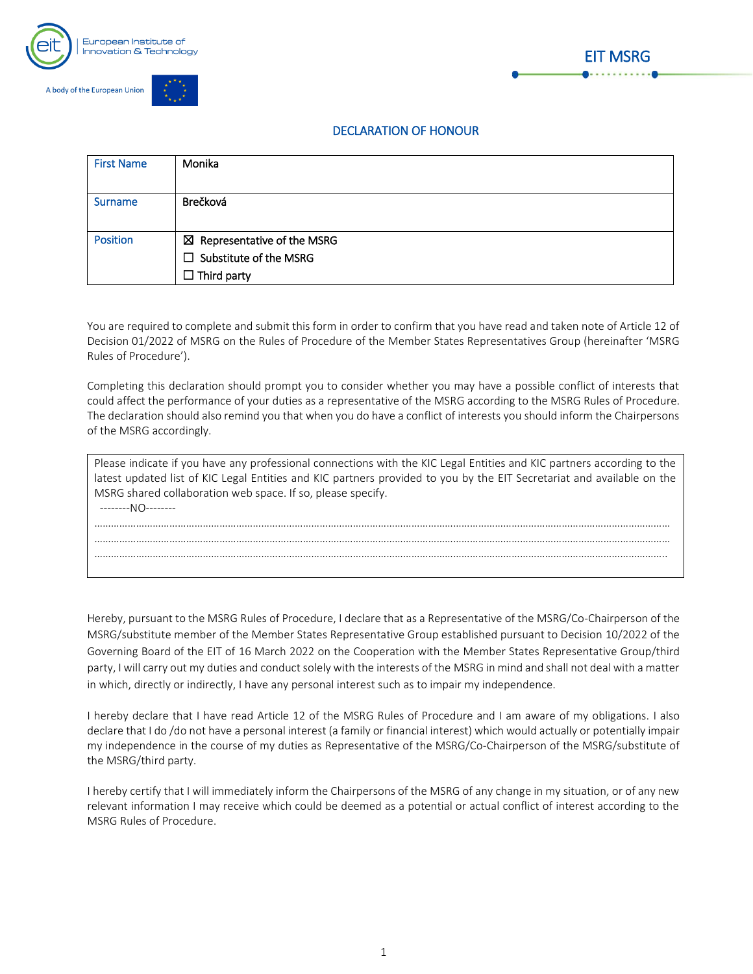



## **DECLARATION OF HONOUR**

**EIT MSRG** 

| <b>First Name</b> | Monika                                 |
|-------------------|----------------------------------------|
|                   |                                        |
| <b>Surname</b>    | Brečková                               |
|                   |                                        |
| <b>Position</b>   | $\boxtimes$ Representative of the MSRG |
|                   | $\Box$ Substitute of the MSRG          |
|                   | $\Box$ Third party                     |

You are required to complete and submit this form in order to confirm that you have read and taken note of Article 12 of Decision 01/2022 of MSRG on the Rules of Procedure of the Member States Representatives Group (hereinafter 'MSRG Rules of Procedure').

Completing this declaration should prompt you to consider whether you may have a possible conflict of interests that could affect the performance of your duties as a representative of the MSRG according to the MSRG Rules of Procedure. The declaration should also remind you that when you do have a conflict of interests you should inform the Chairpersons of the MSRG accordingly.

| Please indicate if you have any professional connections with the KIC Legal Entities and KIC partners according to the |  |  |
|------------------------------------------------------------------------------------------------------------------------|--|--|
| latest updated list of KIC Legal Entities and KIC partners provided to you by the EIT Secretariat and available on the |  |  |
| MSRG shared collaboration web space. If so, please specify.                                                            |  |  |
| --------NO--------                                                                                                     |  |  |
|                                                                                                                        |  |  |
|                                                                                                                        |  |  |
|                                                                                                                        |  |  |
|                                                                                                                        |  |  |

Hereby, pursuant to the MSRG Rules of Procedure, I declare that as a Representative of the MSRG/Co-Chairperson of the MSRG/substitute member of the Member States Representative Group established pursuant to Decision 10/2022 of the Governing Board of the EIT of 16 March 2022 on the Cooperation with the Member States Representative Group/third party, I will carry out my duties and conduct solely with the interests of the MSRG in mind and shall not deal with a matter in which, directly or indirectly, I have any personal interest such as to impair my independence.

I hereby declare that I have read Article 12 of the MSRG Rules of Procedure and I am aware of my obligations. I also declare that I do /do not have a personal interest (a family or financial interest) which would actually or potentially impair my independence in the course of my duties as Representative of the MSRG/Co-Chairperson of the MSRG/substitute of the MSRG/third party.

I hereby certify that I will immediately inform the Chairpersons of the MSRG of any change in my situation, or of any new relevant information I may receive which could be deemed as a potential or actual conflict of interest according to the MSRG Rules of Procedure.